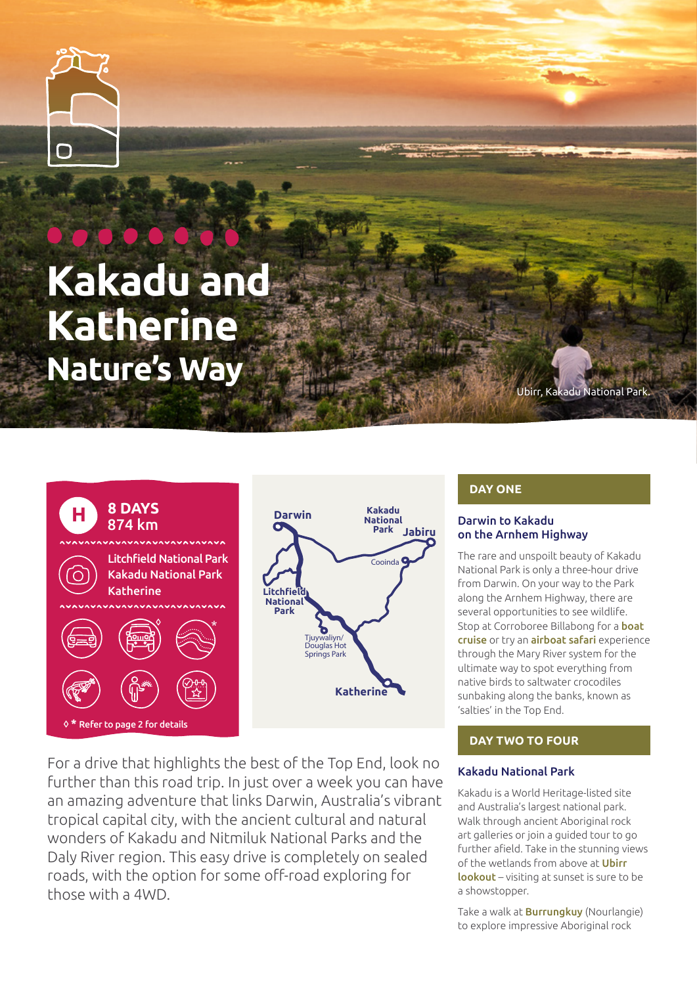

# **Kakadu and Katherine Nature's Way**



For a drive that highlights the best of the Top End, look no further than this road trip. In just over a week you can have an amazing adventure that links Darwin, Australia's vibrant tropical capital city, with the ancient cultural and natural wonders of Kakadu and Nitmiluk National Parks and the Daly River region. This easy drive is completely on sealed roads, with the option for some off-road exploring for those with a 4WD.

# **DAY ONE**

**Kakadu National Park**

Cooinda

**Jabiru**

# Darwin to Kakadu on the Arnhem Highway

The rare and unspoilt beauty of Kakadu National Park is only a three-hour drive from Darwin. On your way to the Park along the Arnhem Highway, there are several opportunities to see wildlife. Stop at Corroboree Billabong for a **boat** [cruise](https://northernterritory.com/tours/wetland-cruises) or try an [airboat safari](https://northernterritory.com/tours/wildlands-wetlands-safari-cruises) experience through the Mary River system for the ultimate way to spot everything from native birds to saltwater crocodiles sunbaking along the banks, known as 'salties' in the Top End.

Ubirr, Kakadu National Park.

# **DAY TWO TO FOUR**

# [Kakadu National Park](https://northernterritory.com/kakadu-and-surrounds/destinations)

Kakadu is a World Heritage-listed site and Australia's largest national park. Walk through ancient Aboriginal rock art galleries or join a guided tour to go further afield. Take in the stunning views of the wetlands from above at **Ubirr** [lookout](https://northernterritory.com/kakadu-and-surrounds/destinations/ubirr) – visiting at sunset is sure to be a showstopper.

Take a walk at **[Burrungkuy](https://northernterritory.com/kakadu-and-surrounds/destinations/burrungkuy--rock-art-site)** (Nourlangie) to explore impressive Aboriginal rock